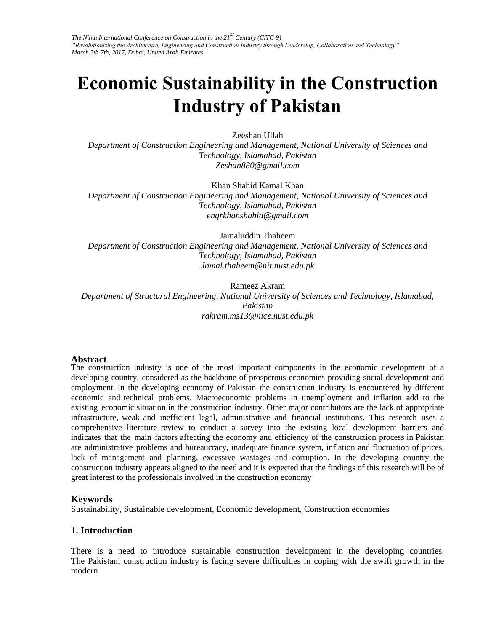*The Ninth International Conference on Construction in the 21st Century (CITC-9) "Revolutionizing the Architecture, Engineering and Construction Industry through Leadership, Collaboration and Technology" March 5th-7th, 2017, Dubai, United Arab Emirates* 

# **Economic Sustainability in the Construction Industry of Pakistan**

#### Zeeshan Ullah

*Department of Construction Engineering and Management, National University of Sciences and Technology, Islamabad, Pakistan Zeshan880@gmail.com* 

Khan Shahid Kamal Khan

*Department of Construction Engineering and Management, National University of Sciences and Technology, Islamabad, Pakistan engrkhanshahid@gmail.com* 

Jamaluddin Thaheem

*Department of Construction Engineering and Management, National University of Sciences and Technology, Islamabad, Pakistan Jamal.thaheem@nit.nust.edu.pk* 

Rameez Akram *Department of Structural Engineering, National University of Sciences and Technology, Islamabad, Pakistan rakram.ms13@nice.nust.edu.pk* 

#### **Abstract**

The construction industry is one of the most important components in the economic development of a developing country, considered as the backbone of prosperous economies providing social development and employment. In the developing economy of Pakistan the construction industry is encountered by different economic and technical problems. Macroeconomic problems in unemployment and inflation add to the existing economic situation in the construction industry. Other major contributors are the lack of appropriate infrastructure, weak and inefficient legal, administrative and financial institutions. This research uses a comprehensive literature review to conduct a survey into the existing local development barriers and indicates that the main factors affecting the economy and efficiency of the construction process in Pakistan are administrative problems and bureaucracy, inadequate finance system, inflation and fluctuation of prices, lack of management and planning, excessive wastages and corruption. In the developing country the construction industry appears aligned to the need and it is expected that the findings of this research will be of great interest to the professionals involved in the construction economy

#### **Keywords**

Sustainability, Sustainable development, Economic development, Construction economies

#### **1. Introduction**

There is a need to introduce sustainable construction development in the developing countries. The Pakistani construction industry is facing severe difficulties in coping with the swift growth in the modern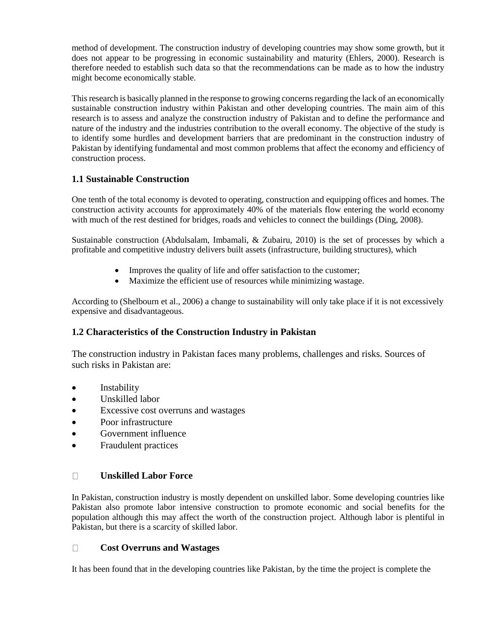method of development. The construction industry of developing countries may show some growth, but it does not appear to be progressing in economic sustainability and maturity (Ehlers, 2000). Research is therefore needed to establish such data so that the recommendations can be made as to how the industry might become economically stable.

This research is basically planned in the response to growing concerns regarding the lack of an economically sustainable construction industry within Pakistan and other developing countries. The main aim of this research is to assess and analyze the construction industry of Pakistan and to define the performance and nature of the industry and the industries contribution to the overall economy. The objective of the study is to identify some hurdles and development barriers that are predominant in the construction industry of Pakistan by identifying fundamental and most common problems that affect the economy and efficiency of construction process.

# **1.1 Sustainable Construction**

One tenth of the total economy is devoted to operating, construction and equipping offices and homes. The construction activity accounts for approximately 40% of the materials flow entering the world economy with much of the rest destined for bridges, roads and vehicles to connect the buildings (Ding, 2008).

Sustainable construction (Abdulsalam, Imbamali, & Zubairu, 2010) is the set of processes by which a profitable and competitive industry delivers built assets (infrastructure, building structures), which

- Improves the quality of life and offer satisfaction to the customer;
- Maximize the efficient use of resources while minimizing wastage.

According to (Shelbourn et al., 2006) a change to sustainability will only take place if it is not excessively expensive and disadvantageous.

# **1.2 Characteristics of the Construction Industry in Pakistan**

The construction industry in Pakistan faces many problems, challenges and risks. Sources of such risks in Pakistan are:

- Instability
- Unskilled labor
- Excessive cost overruns and wastages
- Poor infrastructure
- Government influence
- Fraudulent practices

#### $\Box$ **Unskilled Labor Force**

In Pakistan, construction industry is mostly dependent on unskilled labor. Some developing countries like Pakistan also promote labor intensive construction to promote economic and social benefits for the population although this may affect the worth of the construction project. Although labor is plentiful in Pakistan, but there is a scarcity of skilled labor.

#### $\Box$ **Cost Overruns and Wastages**

It has been found that in the developing countries like Pakistan, by the time the project is complete the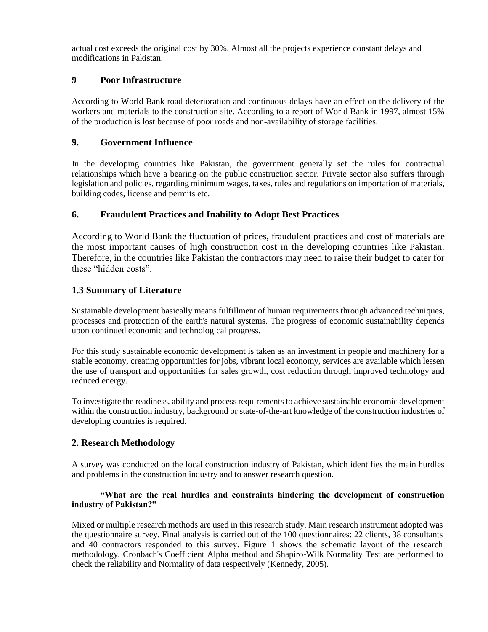actual cost exceeds the original cost by 30%. Almost all the projects experience constant delays and modifications in Pakistan.

## **9 Poor Infrastructure**

According to World Bank road deterioration and continuous delays have an effect on the delivery of the workers and materials to the construction site. According to a report of World Bank in 1997, almost 15% of the production is lost because of poor roads and non-availability of storage facilities.

## **9. Government Influence**

In the developing countries like Pakistan, the government generally set the rules for contractual relationships which have a bearing on the public construction sector. Private sector also suffers through legislation and policies, regarding minimum wages, taxes, rules and regulations on importation of materials, building codes, license and permits etc.

# **6. Fraudulent Practices and Inability to Adopt Best Practices**

According to World Bank the fluctuation of prices, fraudulent practices and cost of materials are the most important causes of high construction cost in the developing countries like Pakistan. Therefore, in the countries like Pakistan the contractors may need to raise their budget to cater for these "hidden costs".

## **1.3 Summary of Literature**

Sustainable development basically means fulfillment of human requirements through advanced techniques, processes and protection of the earth's natural systems. The progress of economic sustainability depends upon continued economic and technological progress.

For this study sustainable economic development is taken as an investment in people and machinery for a stable economy, creating opportunities for jobs, vibrant local economy, services are available which lessen the use of transport and opportunities for sales growth, cost reduction through improved technology and reduced energy.

To investigate the readiness, ability and process requirements to achieve sustainable economic development within the construction industry, background or state-of-the-art knowledge of the construction industries of developing countries is required.

# **2. Research Methodology**

A survey was conducted on the local construction industry of Pakistan, which identifies the main hurdles and problems in the construction industry and to answer research question.

#### **"What are the real hurdles and constraints hindering the development of construction industry of Pakistan?"**

Mixed or multiple research methods are used in this research study. Main research instrument adopted was the questionnaire survey. Final analysis is carried out of the 100 questionnaires: 22 clients, 38 consultants and 40 contractors responded to this survey. Figure 1 shows the schematic layout of the research methodology. Cronbach's Coefficient Alpha method and Shapiro-Wilk Normality Test are performed to check the reliability and Normality of data respectively (Kennedy, 2005).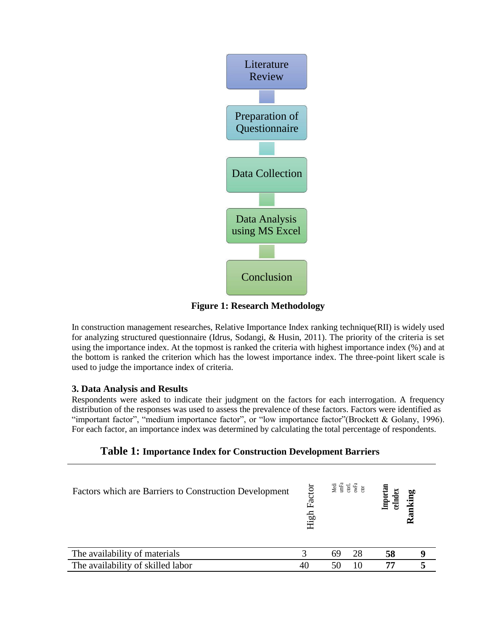

**Figure 1: Research Methodology**

In construction management researches, Relative Importance Index ranking technique(RII) is widely used for analyzing structured questionnaire (Idrus, Sodangi, & Husin, 2011). The priority of the criteria is set using the importance index. At the topmost is ranked the criteria with highest importance index (%) and at the bottom is ranked the criterion which has the lowest importance index. The three-point likert scale is used to judge the importance index of criteria.

# **3. Data Analysis and Results**

Respondents were asked to indicate their judgment on the factors for each interrogation. A frequency distribution of the responses was used to assess the prevalence of these factors. Factors were identified as "important factor", "medium importance factor", or "low importance factor"(Brockett & Golany, 1996). For each factor, an importance index was determined by calculating the total percentage of respondents.

| Table 1: Importance Index for Construction Development Barriers |
|-----------------------------------------------------------------|
|-----------------------------------------------------------------|

| Factors which are Barriers to Construction Development | Factor<br>High |    |    | Importan<br>ceIndex | king |
|--------------------------------------------------------|----------------|----|----|---------------------|------|
| The availability of materials                          |                | 69 | 28 | 58                  |      |
| The availability of skilled labor                      | 40             | 50 | 10 |                     |      |
|                                                        |                |    |    |                     |      |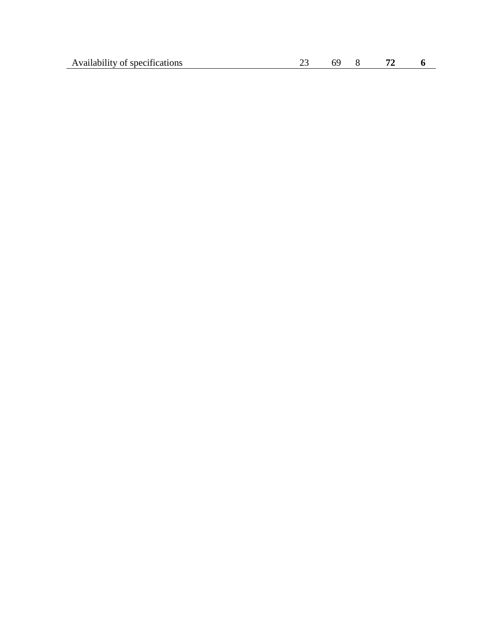| Availability of specifications<br>. | __ |  |  |
|-------------------------------------|----|--|--|
|                                     |    |  |  |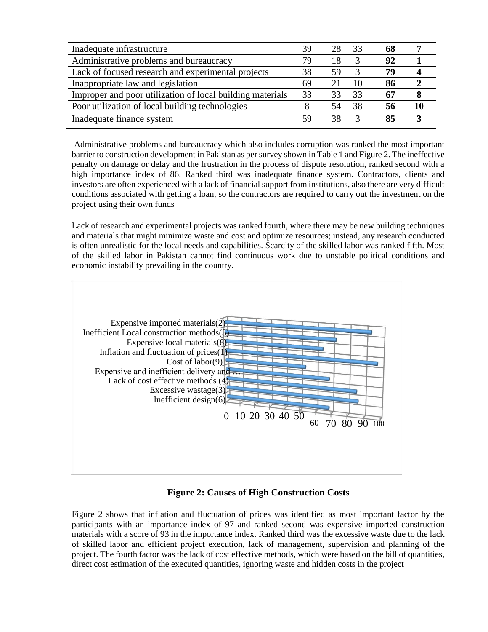| Inadequate infrastructure                                 | 39 | 28 | 33 |    |  |
|-----------------------------------------------------------|----|----|----|----|--|
| Administrative problems and bureaucracy                   | 79 | 18 |    | 92 |  |
| Lack of focused research and experimental projects        | 38 | 59 |    | 79 |  |
| Inappropriate law and legislation                         | 69 | 21 | 10 | 86 |  |
| Improper and poor utilization of local building materials | 33 | 33 | 33 |    |  |
| Poor utilization of local building technologies           |    | 54 | 38 | 56 |  |
| Inadequate finance system                                 | 59 | 38 |    | 85 |  |

Administrative problems and bureaucracy which also includes corruption was ranked the most important barrier to construction development in Pakistan as per survey shown in Table 1 and Figure 2. The ineffective penalty on damage or delay and the frustration in the process of dispute resolution, ranked second with a high importance index of 86. Ranked third was inadequate finance system. Contractors, clients and investors are often experienced with a lack of financial support from institutions, also there are very difficult conditions associated with getting a loan, so the contractors are required to carry out the investment on the project using their own funds

Lack of research and experimental projects was ranked fourth, where there may be new building techniques and materials that might minimize waste and cost and optimize resources; instead, any research conducted is often unrealistic for the local needs and capabilities. Scarcity of the skilled labor was ranked fifth. Most of the skilled labor in Pakistan cannot find continuous work due to unstable political conditions and economic instability prevailing in the country.



#### **Figure 2: Causes of High Construction Costs**

Figure 2 shows that inflation and fluctuation of prices was identified as most important factor by the participants with an importance index of 97 and ranked second was expensive imported construction materials with a score of 93 in the importance index. Ranked third was the excessive waste due to the lack of skilled labor and efficient project execution, lack of management, supervision and planning of the project. The fourth factor was the lack of cost effective methods, which were based on the bill of quantities, direct cost estimation of the executed quantities, ignoring waste and hidden costs in the project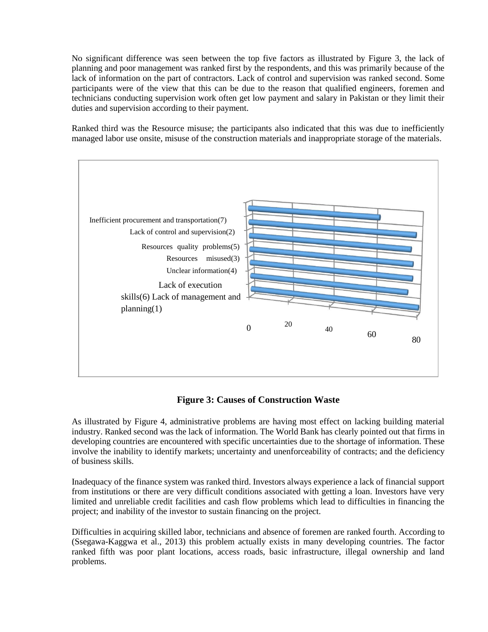No significant difference was seen between the top five factors as illustrated by Figure 3, the lack of planning and poor management was ranked first by the respondents, and this was primarily because of the lack of information on the part of contractors. Lack of control and supervision was ranked second. Some participants were of the view that this can be due to the reason that qualified engineers, foremen and technicians conducting supervision work often get low payment and salary in Pakistan or they limit their duties and supervision according to their payment.

Ranked third was the Resource misuse; the participants also indicated that this was due to inefficiently managed labor use onsite, misuse of the construction materials and inappropriate storage of the materials.



# **Figure 3: Causes of Construction Waste**

As illustrated by Figure 4, administrative problems are having most effect on lacking building material industry. Ranked second was the lack of information. The World Bank has clearly pointed out that firms in developing countries are encountered with specific uncertainties due to the shortage of information. These involve the inability to identify markets; uncertainty and unenforceability of contracts; and the deficiency of business skills.

Inadequacy of the finance system was ranked third. Investors always experience a lack of financial support from institutions or there are very difficult conditions associated with getting a loan. Investors have very limited and unreliable credit facilities and cash flow problems which lead to difficulties in financing the project; and inability of the investor to sustain financing on the project.

Difficulties in acquiring skilled labor, technicians and absence of foremen are ranked fourth. According to (Ssegawa-Kaggwa et al., 2013) this problem actually exists in many developing countries. The factor ranked fifth was poor plant locations, access roads, basic infrastructure, illegal ownership and land problems.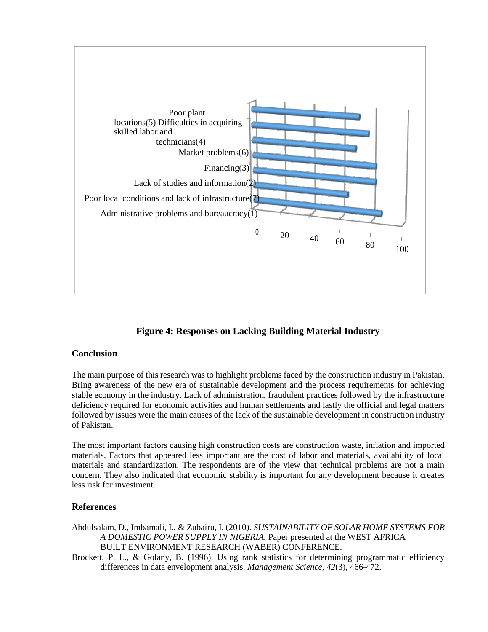

# **Figure 4: Responses on Lacking Building Material Industry**

#### **Conclusion**

The main purpose of this research was to highlight problems faced by the construction industry in Pakistan. Bring awareness of the new era of sustainable development and the process requirements for achieving stable economy in the industry. Lack of administration, fraudulent practices followed by the infrastructure deficiency required for economic activities and human settlements and lastly the official and legal matters followed by issues were the main causes of the lack of the sustainable development in construction industry of Pakistan.

The most important factors causing high construction costs are construction waste, inflation and imported materials. Factors that appeared less important are the cost of labor and materials, availability of local materials and standardization. The respondents are of the view that technical problems are not a main concern. They also indicated that economic stability is important for any development because it creates less risk for investment.

#### **References**

- Abdulsalam, D., Imbamali, I., & Zubairu, I. (2010). *SUSTAINABILITY OF SOLAR HOME SYSTEMS FOR A DOMESTIC POWER SUPPLY IN NIGERIA.* Paper presented at the WEST AFRICA BUILT ENVIRONMENT RESEARCH (WABER) CONFERENCE.
- Brockett, P. L., & Golany, B. (1996). Using rank statistics for determining programmatic efficiency differences in data envelopment analysis. *Management Science, 42*(3), 466-472.